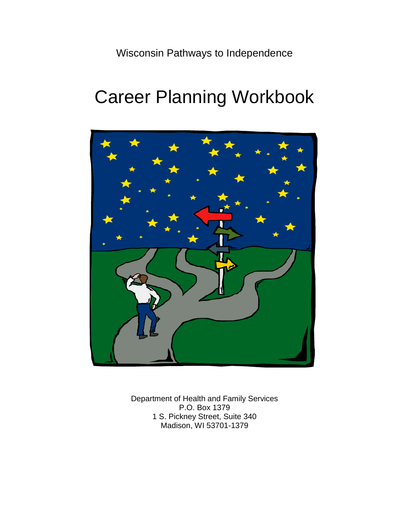Wisconsin Pathways to Independence

# Career Planning Workbook



Department of Health and Family Services P.O. Box 1379 1 S. Pickney Street, Suite 340 Madison, WI 53701-1379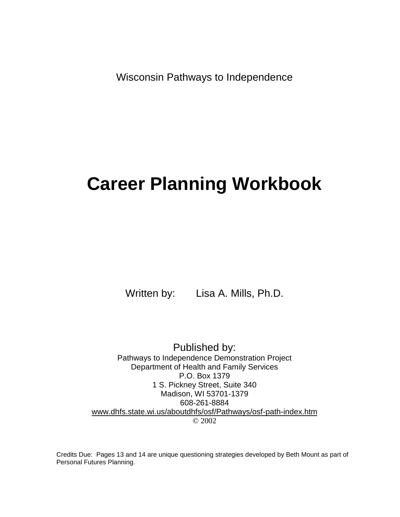Wisconsin Pathways to Independence

## **Career Planning Workbook**

Written by: Lisa A. Mills, Ph.D.

Published by: Pathways to Independence Demonstration Project Department of Health and Family Services P.O. Box 1379 1 S. Pickney Street, Suite 340 Madison, WI 53701-1379 608-261-8884 [www.dhfs.state.wi.us/aboutdhfs/osf/Pathways/osf-path-index.htm](http://www.dhfs.state.wi.us/aboutdhfs/osf/Pathways/osf-path-index.htm) © 2002

Credits Due: Pages 13 and 14 are unique questioning strategies developed by Beth Mount as part of Personal Futures Planning.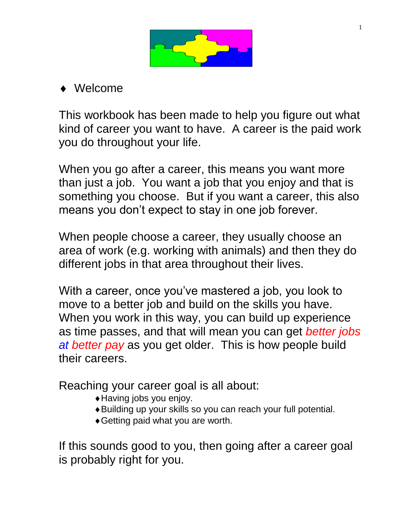

Welcome

This workbook has been made to help you figure out what kind of career you want to have. A career is the paid work you do throughout your life.

When you go after a career, this means you want more than just a job. You want a job that you enjoy and that is something you choose. But if you want a career, this also means you don't expect to stay in one job forever.

When people choose a career, they usually choose an area of work (e.g. working with animals) and then they do different jobs in that area throughout their lives.

With a career, once you've mastered a job, you look to move to a better job and build on the skills you have. When you work in this way, you can build up experience as time passes, and that will mean you can get *better jobs at better pay* as you get older. This is how people build their careers.

Reaching your career goal is all about:

- Having jobs you enjoy.
- Building up your skills so you can reach your full potential.
- Getting paid what you are worth.

If this sounds good to you, then going after a career goal is probably right for you.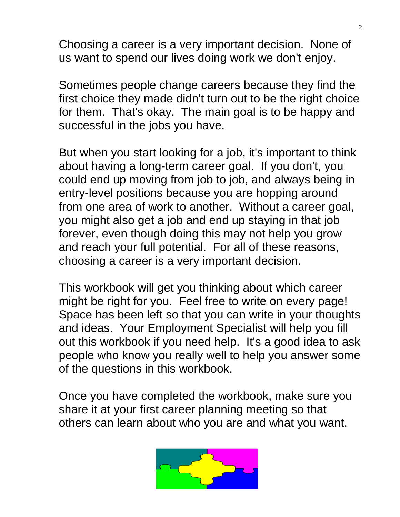Choosing a career is a very important decision. None of us want to spend our lives doing work we don't enjoy.

Sometimes people change careers because they find the first choice they made didn't turn out to be the right choice for them. That's okay. The main goal is to be happy and successful in the jobs you have.

But when you start looking for a job, it's important to think about having a long-term career goal. If you don't, you could end up moving from job to job, and always being in entry-level positions because you are hopping around from one area of work to another. Without a career goal, you might also get a job and end up staying in that job forever, even though doing this may not help you grow and reach your full potential. For all of these reasons, choosing a career is a very important decision.

This workbook will get you thinking about which career might be right for you. Feel free to write on every page! Space has been left so that you can write in your thoughts and ideas. Your Employment Specialist will help you fill out this workbook if you need help. It's a good idea to ask people who know you really well to help you answer some of the questions in this workbook.

Once you have completed the workbook, make sure you share it at your first career planning meeting so that others can learn about who you are and what you want.

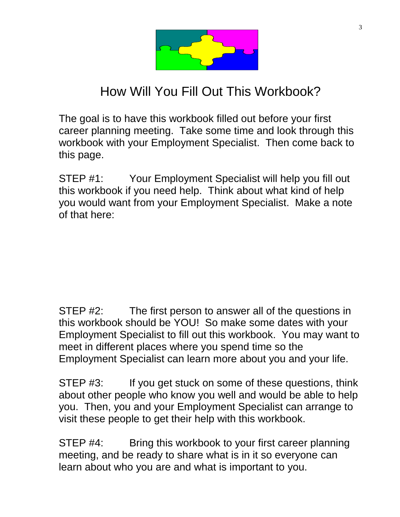

## How Will You Fill Out This Workbook?

The goal is to have this workbook filled out before your first career planning meeting. Take some time and look through this workbook with your Employment Specialist. Then come back to this page.

STEP #1: Your Employment Specialist will help you fill out this workbook if you need help. Think about what kind of help you would want from your Employment Specialist. Make a note of that here:

STEP #2: The first person to answer all of the questions in this workbook should be YOU! So make some dates with your Employment Specialist to fill out this workbook. You may want to meet in different places where you spend time so the Employment Specialist can learn more about you and your life.

STEP #3: If you get stuck on some of these questions, think about other people who know you well and would be able to help you. Then, you and your Employment Specialist can arrange to visit these people to get their help with this workbook.

STEP #4: Bring this workbook to your first career planning meeting, and be ready to share what is in it so everyone can learn about who you are and what is important to you.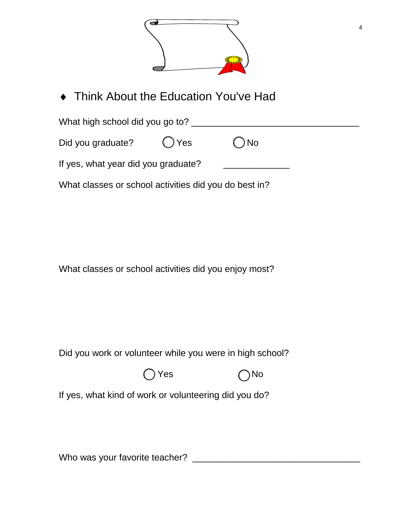

◆ Think About the Education You've Had

What high school did you go to? \_\_\_\_\_\_\_\_\_\_\_\_\_\_\_\_\_\_\_\_\_\_\_\_\_\_\_\_\_\_\_\_\_

Did you graduate?  $\bigcirc$  Yes  $\bigcirc$  No

If yes, what year did you graduate?

What classes or school activities did you do best in?

What classes or school activities did you enjoy most?

Did you work or volunteer while you were in high school?





If yes, what kind of work or volunteering did you do?

Who was your favorite teacher? \_\_\_\_\_\_\_\_\_\_\_\_\_\_\_\_\_\_\_\_\_\_\_\_\_\_\_\_\_\_\_\_\_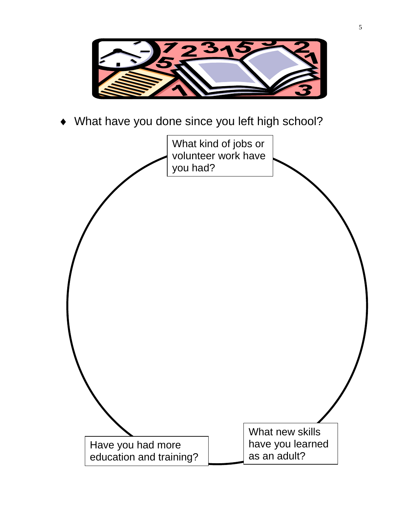

What have you done since you left high school?

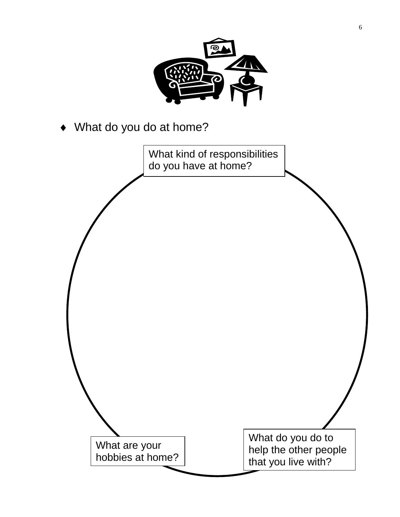

What do you do at home?

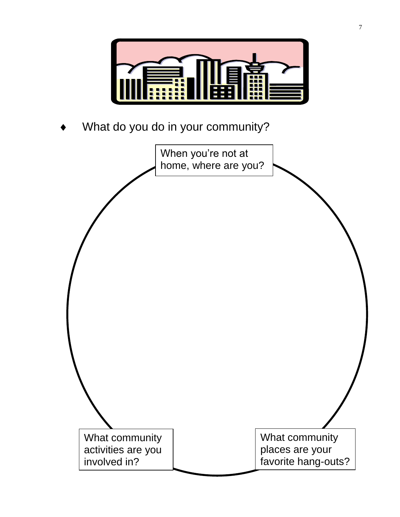

What do you do in your community?

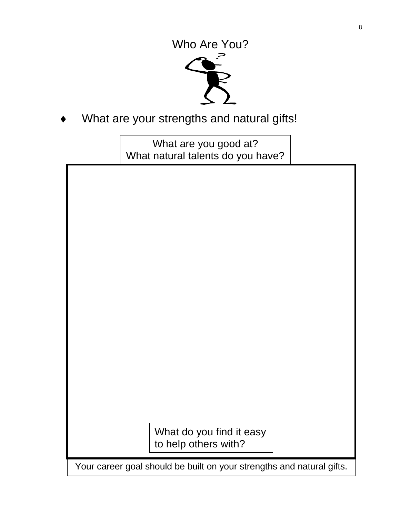

What are your strengths and natural gifts!

What are you good at? What natural talents do you have?

Your career goal should be built on your strengths and natural gifts. What do you find it easy to help others with?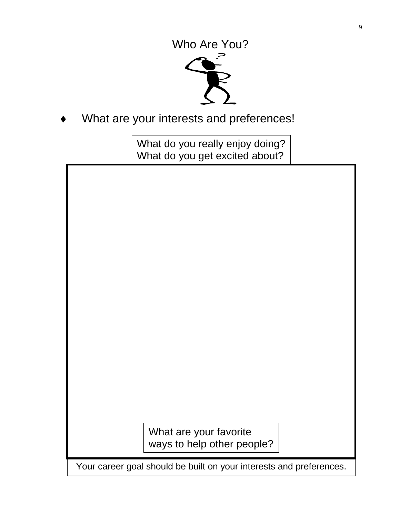

What are your interests and preferences!

What do you really enjoy doing? What do you get excited about?

| What are your favorite                                              |  |
|---------------------------------------------------------------------|--|
| ways to help other people?                                          |  |
| Your career goal should be built on your interests and preferences. |  |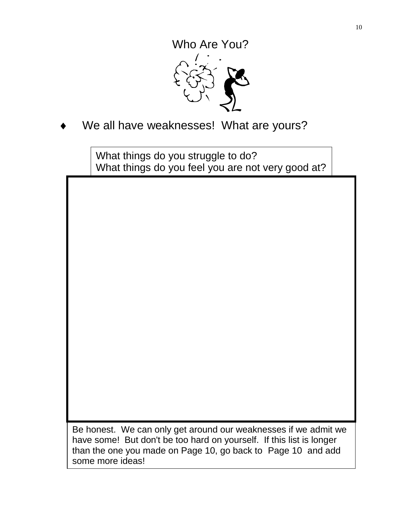

We all have weaknesses! What are yours?

What things do you struggle to do? What things do you feel you are not very good at?

Be honest. We can only get around our weaknesses if we admit we have some! But don't be too hard on yourself. If this list is longer than the one you made on Page 10, go back to Page 10 and add some more ideas!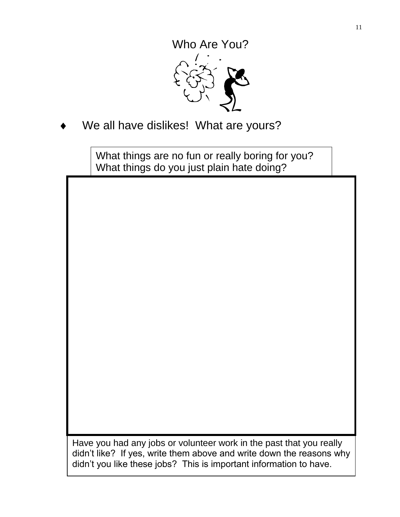We all have dislikes! What are yours?

What things are no fun or really boring for you? What things do you just plain hate doing?

didn't like en yes, whie them above and whie down the reasons<br>didn't you like these jobs? This is important information to have. Have you had any jobs or volunteer work in the past that you really didn't like? If yes, write them above and write down the reasons why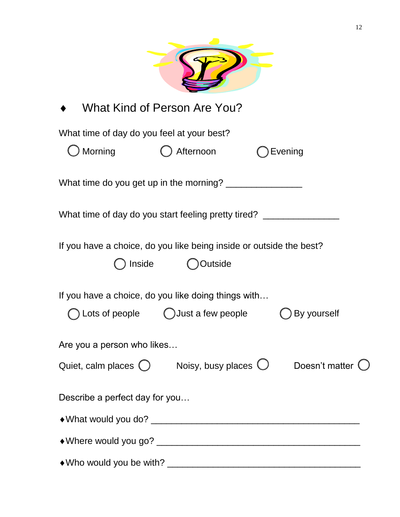|                                                                                  | What Kind of Person Are You?                |                |
|----------------------------------------------------------------------------------|---------------------------------------------|----------------|
| What time of day do you feel at your best?                                       |                                             |                |
| <b>Morning</b>                                                                   | Afternoon                                   | Evening        |
|                                                                                  |                                             |                |
| What time of day do you start feeling pretty tired? ____________________________ |                                             |                |
| If you have a choice, do you like being inside or outside the best?              |                                             |                |
| Inside                                                                           | Outside                                     |                |
| If you have a choice, do you like doing things with                              |                                             |                |
|                                                                                  | Lots of people $\bigcirc$ Just a few people | By yourself    |
| Are you a person who likes                                                       |                                             |                |
| Quiet, calm places $\bigcirc$                                                    | Noisy, busy places $\bigcirc$               | Doesn't matter |
| Describe a perfect day for you                                                   |                                             |                |
|                                                                                  |                                             |                |
|                                                                                  |                                             |                |
|                                                                                  |                                             |                |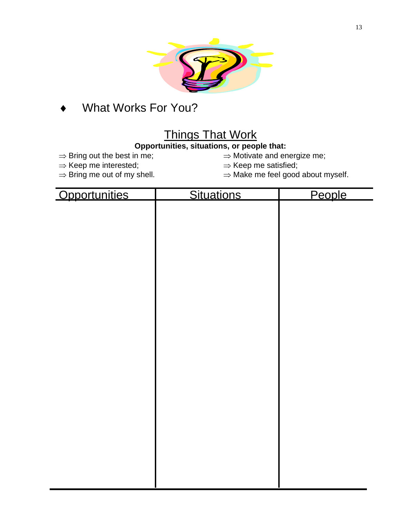

## What Works For You?

## Things That Work

#### **Opportunities, situations, or people that:**

- 
- 
- $\Rightarrow$  Keep me interested;<br>  $\Rightarrow$  Bring me out of my shell.  $\Rightarrow$  Make me feel good
- $\Rightarrow$  Bring out the best in me;  $\Rightarrow$  Motivate and energize me;
	-
	- $\Rightarrow$  Make me feel good about myself.

| Opportunities | Situations | People |
|---------------|------------|--------|
|               |            |        |
|               |            |        |
|               |            |        |
|               |            |        |
|               |            |        |
|               |            |        |
|               |            |        |
|               |            |        |
|               |            |        |
|               |            |        |
|               |            |        |
|               |            |        |
|               |            |        |
|               |            |        |
|               |            |        |
|               |            |        |
|               |            |        |
|               |            |        |
|               |            |        |
|               |            |        |
|               |            |        |
|               |            |        |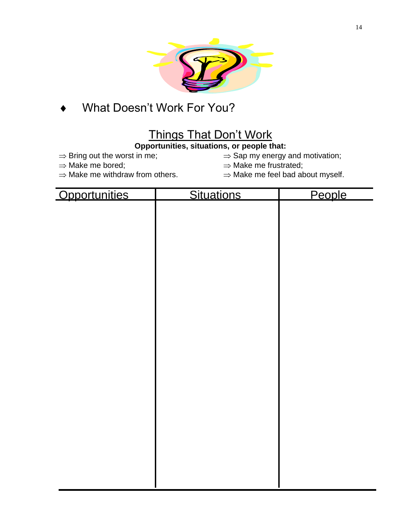

## What Doesn't Work For You?

## Things That Don't Work

#### **Opportunities, situations, or people that:**

 $\Rightarrow$  Bring out the worst in me;  $\Rightarrow$  Sap my energy and motivation;

- 
- ⇒ Make me bored;<br>
⇒ Make me withdraw from others. <br>
⇒ Make me feel bad ab
- -
	- $\Rightarrow$  Make me feel bad about myself.

| Opportunities | Situations | People |
|---------------|------------|--------|
|               |            |        |
|               |            |        |
|               |            |        |
|               |            |        |
|               |            |        |
|               |            |        |
|               |            |        |
|               |            |        |
|               |            |        |
|               |            |        |
|               |            |        |
|               |            |        |
|               |            |        |
|               |            |        |
|               |            |        |
|               |            |        |
|               |            |        |
|               |            |        |
|               |            |        |
|               |            |        |
|               |            |        |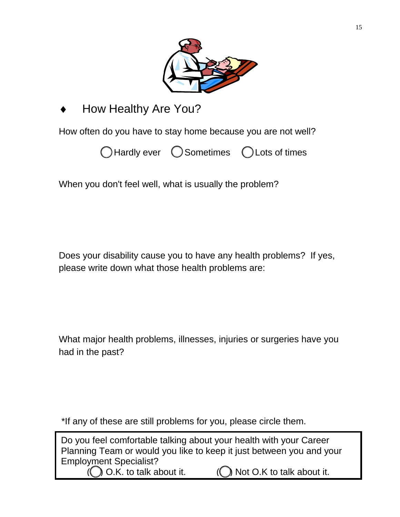

### How Healthy Are You?

How often do you have to stay home because you are not well?



When you don't feel well, what is usually the problem?

Does your disability cause you to have any health problems? If yes, please write down what those health problems are:

What major health problems, illnesses, injuries or surgeries have you had in the past?

\*If any of these are still problems for you, please circle them.

Do you feel comfortable talking about your health with your Career Planning Team or would you like to keep it just between you and your Employment Specialist? ) O.K. to talk about it.  $\bigcirc$  Not O.K to talk about it.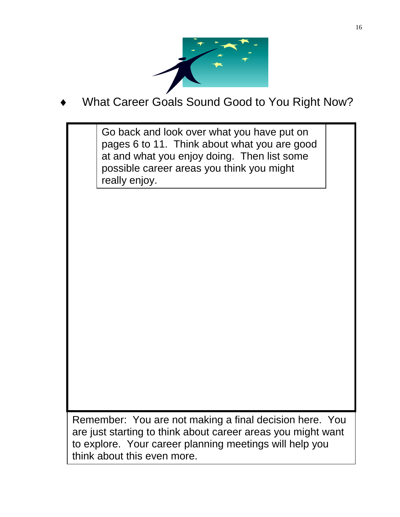

What Career Goals Sound Good to You Right Now?

Go back and look over what you have put on pages 6 to 11. Think about what you are good at and what you enjoy doing. Then list some possible career areas you think you might really enjoy.

are just starting to think about career areas you might want Remember: You are not making a final decision here. You to explore. Your career planning meetings will help you think about this even more.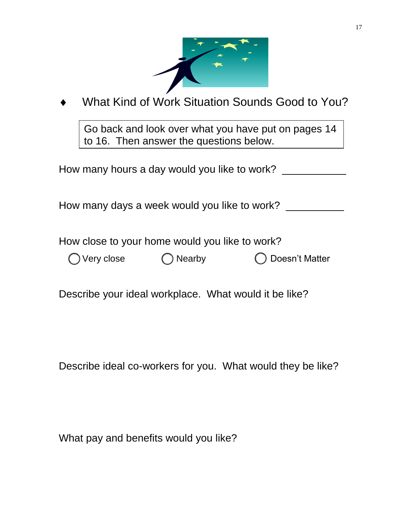

## What Kind of Work Situation Sounds Good to You?

Go back and look over what you have put on pages 14 to 16. Then answer the questions below.

How many hours a day would you like to work?

How many days a week would you like to work? \_\_\_\_\_\_\_\_\_\_

How close to your home would you like to work?

|  | ) Very clos |  |
|--|-------------|--|
|  |             |  |

e  $\bigcap$  Nearby  $\bigcap$  Doesn't Matter

Describe your ideal workplace. What would it be like?

Describe ideal co-workers for you. What would they be like?

What pay and benefits would you like?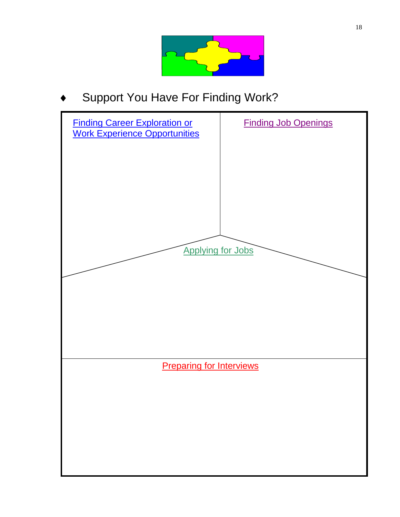

Support You Have For Finding Work?

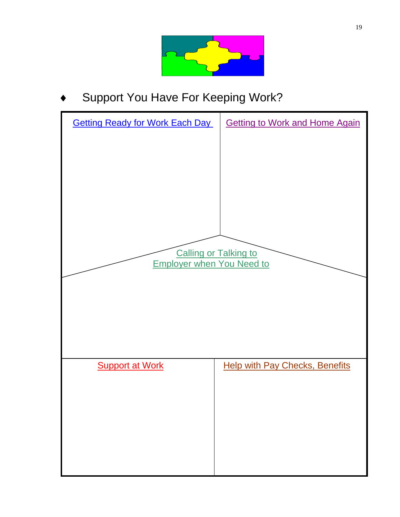

Support You Have For Keeping Work?